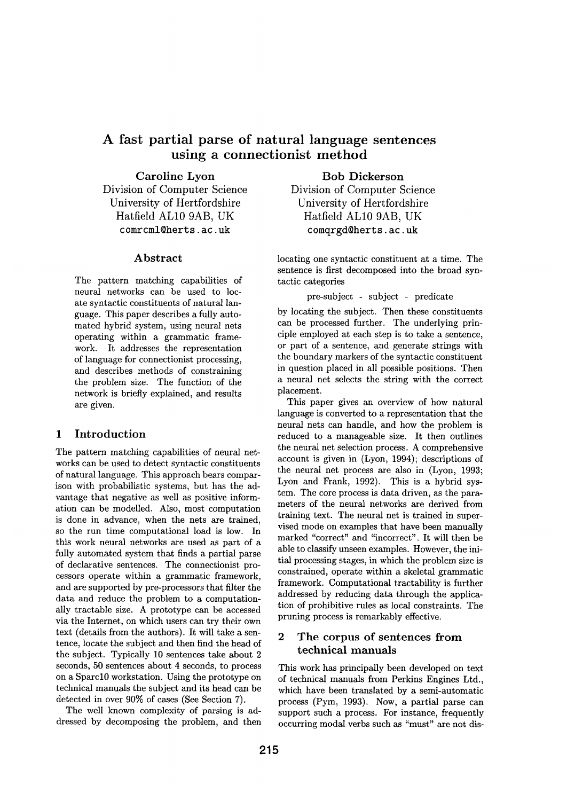# **A fast partial parse of natural language sentences using a connectionist method**

Caroline Lyon Division of Computer Science University of Hertfordshire Hatfield ALl0 9AB, UK comrcml@herts, ac. uk

## **Abstract**

The pattern matching capabilities of neural networks can be used to locate syntactic constituents of natural language. This paper describes a fully automated hybrid system, using neural nets operating within a grammatic framework. It addresses the representation of language for connectionist processing, and describes methods of constraining the problem size. The function of the network is briefly explained, and results are given.

# **1 Introduction**

The pattern matching capabilities of neural networks can be used to detect syntactic constituents of natural language. This approach bears comparison with probabilistic systems, but has the advantage that negative as well as positive information can be modelled. Also, most computation is done in advance, when the nets are trained, so the run time computational load is low. In this work neural networks are used as part of a fully automated system that finds a partial parse of declarative sentences. The connectionist processors operate within a grammatic framework, and are supported by pre-processors that filter the data and reduce the problem to a computationally tractable size. A prototype can be accessed via the Internet, on which users can try their own text (details from the authors). It will take a sentence, locate the subject and then find the head of the subject. Typically 10 sentences take about 2 seconds, 50 sentences about 4 seconds, to process on a Sparcl0 workstation. Using the prototype on technical manuals the subject and its head can be detected in over 90% of cases (See Section 7).

The well known complexity of parsing is addressed by decomposing the problem, and then **Bob Dickerson** 

Division of Computer Science University of Hertfordshire Hatfield ALl0 9AB, UK comqrgd@herts.ac.uk

locating one syntactic constituent at a time. The sentence is first decomposed into the broad syntactic categories

### pre-subject - subject - predicate

by locating the subject. Then these constituents can be processed further. The underlying principle employed at each step is to take a sentence, or part of a sentence, and generate strings with the boundary markers of the syntactic constituent in question placed in all possible positions. Then a neural net selects the string with the correct placement.

This paper gives an overview of how natural language is converted to a representation that the neural nets can handle, and how the problem is reduced to a manageable size. It then outlines the neural net selection process. A comprehensive account is given in (Lyon, 1994); descriptions of the neural net process are also in (Lyon, 1993; Lyon and Frank, 1992). This is a hybrid system. The core process is data driven, as the parameters of the neural networks are derived from training text. The neural net is trained in supervised mode on examples that have been manually marked "correct" and "incorrect". It will then be able to classify unseen examples. However, the initial processing stages, in which the problem size is constrained, operate within a skeletal grammatic framework. Computational tractability is further addressed by reducing data through the application of prohibitive rules as local constraints. The pruning process is remarkably effective.

# **2 The corpus of sentences** from **technical** manuals

This work has principally been developed on text of technical manuals from Perkins Engines Ltd., which have been translated by a semi-automatic process (Pym, 1993). Now, a partial parse can support such a process. For instance, frequently occurring modal verbs such as "must" are not dis-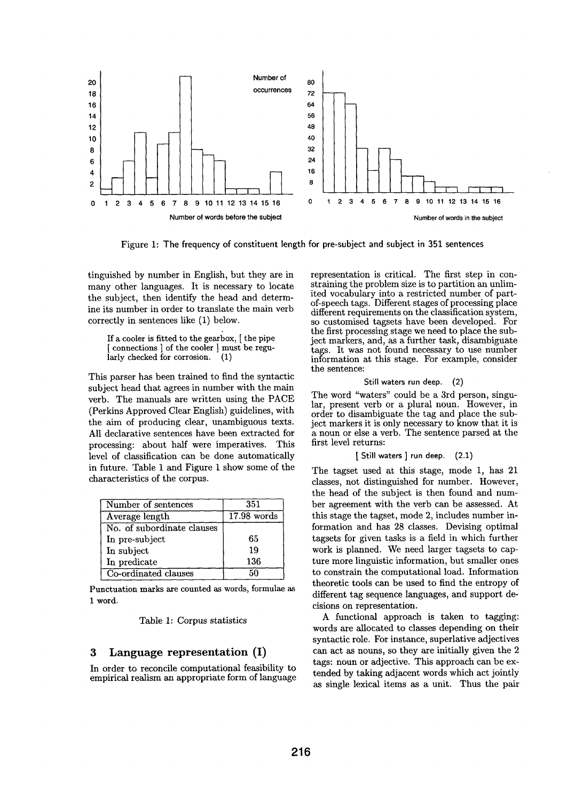

Figure I: The frequency of constituent length for pre-subject and subject in 351 **sentences** 

tinguished by number in English, but they are in many other languages. It is necessary to locate the subject, then identify the head and determine its number in order to translate the main verb correctly in sentences like (1) below.

If a cooler is fitted to the gearbox, [ the pipe  $\frac{1}{2}$  connections  $\frac{1}{2}$  of the cooler  $\frac{1}{2}$  must be regu-<br>arly checked for corrosion. (1) larly checked for corrosion.

This parser has been trained to find the syntactic subject head that agrees in number with the main verb. The manuals are written using the PACE (Perkins Approved Clear English) guidelines, with the aim of producing clear, unambiguous texts. AlI declarative sentences have been extracted for processing: about half were imperatives. This level of classification can be done automatically in future. Table 1 and Figure 1 show some of the characteristics of the corpus.

| Number of sentences        | 351           |
|----------------------------|---------------|
| Average length             | $17.98$ words |
| No. of subordinate clauses |               |
| In pre-subject             | 65            |
| In subject                 | 19            |
| In predicate               | 136           |
| Co-ordinated clauses       | -50           |

Punctuation marks are counted as words, formulae as 1 word.

#### Table 1: Corpus statistics

### **3 Language representation (I)**

In order to reconcile computational feasibility to empirical realism an appropriate form of language representation is critical. The first step in constraining the problem size is to partition an unlimited vocabulary into a restricted number of partof-speech tags. Different stages of processing place different requirements on the classification system, so customised tagsets have been developed. For the first processing stage we need to place the subject markers, and, as a further task, disambiguate tags. It was not found necessary to use number information at this stage. For example, consider the sentence:

#### **Still waters run deep.** (2)

The word "waters" could be a 3rd person, singular, present verb or a plural noun. However, in order to disambiguate the tag and place the subject markers it is only necessary to know that it is a noun or else a verb. The sentence parsed at the first level returns:

[ **Still waters ] run deep.** (2.1)

The tagset used at this stage, mode 1, has 21 classes, not distinguished for number. However, the head of the subject is then found and number agreement with the verb can be assessed. At this stage the tagset, mode 2, includes number information and has 28 classes. Devising optimal tagsets for given tasks is a field in which further work is planned. We need larger tagsets to capture more linguistic information, but smaller ones to constrain the computational load. Information theoretic tools can be used to find the entropy of different tag sequence languages, and support decisions on representation.

A functional approach is taken to tagging: words are allocated to classes depending on their syntactic role. For instance, superlative adjectives can act as nouns, so they are initially given the 2 tags: noun or adjective. This approach can be extended by taking adjacent words which act jointly as single lexical items as a unit. Thus the pair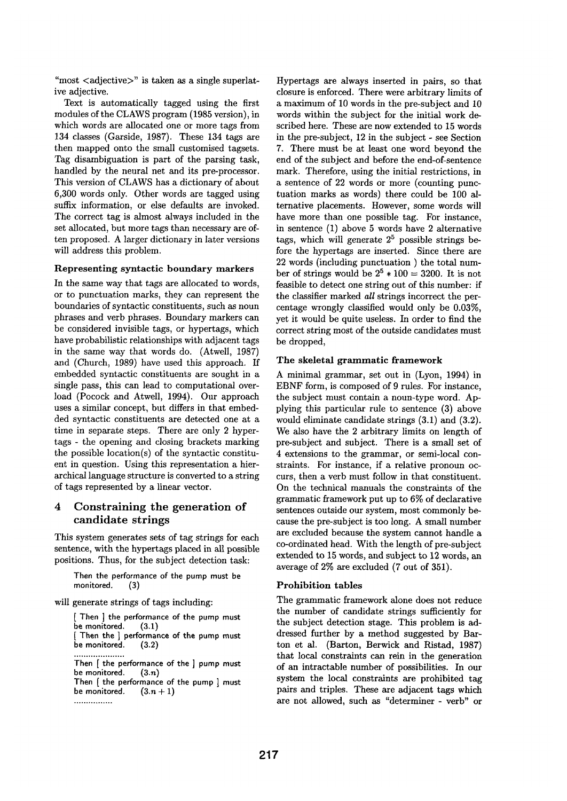"most  $\langle$ adjective $\rangle$ " is taken as a single superlative adjective.

Text is automatically tagged using the first modules of the CLAWS program (1985 version), in which words are allocated one or more tags from 134 classes (Garside, 1987). These 134 tags are then mapped onto the small customised tagsets. Tag disambiguation is part of the parsing task, handled by the neural net and its pre-processor. This version of CLAWS has a dictionary of about 6,300 words only. Other words are tagged using suffix information, or else defaults are invoked. The correct tag is almost always included in the set allocated, but more tags than necessary are often proposed. A larger dictionary in later versions will address this problem.

#### **Representing syntactic boundary markers**

In the same way that tags are allocated to words, or to punctuation marks, they can represent the boundaries of syntactic constituents, such as noun phrases and verb phrases. Boundary markers can be considered invisible tags, or hypertags, which have probabilistic relationships with adjacent tags in the same way that words do. (Atwell, 1987) and (Church, 1989) have used this approach. If embedded syntactic constituents are sought in a single pass, this can lead to computational overload (Pocock and Atwell, 1994). Our approach uses a similar concept, but differs in that embedded syntactic constituents are detected one at a time in separate steps. There are only 2 hypertags - the opening and closing brackets marking the possible location(s) of the syntactic constituent in question. Using this representation a hierarchical language structure is converted to a string of tags represented by a linear vector.

# **4 Constraining the generation of candidate strings**

This system generates sets of tag strings for each sentence, with the hypertags placed in all possible positions. Thus, for the subject detection task:

Then **the performance of the** pump must **be monitored.** (3)

will generate strings of tags including:

[ Then ] **the performance of the pump must**  be monitored. (3.1) [ Then the ] performance of the pump must *be monitored.* (3.2)

```
Then [ the performance of the ] pump must 
be monitored.
Then [ the performance of the pump ] must 
be monitored. (3.n + 1)
```

```
................
```
Hypertags are always inserted in pairs, so that closure is enforced. There were arbitrary limits of a maximum of 10 words in the pre-subject and 10 words within the subject for the initial work described here. These are now extended to 15 words in the pre-subject, 12 in the subject - see Section 7. There must be at least one word beyond the end of the subject and before the end-of-sentence mark. Therefore, using the initial restrictions, in a sentence of 22 words or more (counting punctuation marks as words) there could be 100 alternative placements. However, some words will have more than one possible tag. For instance, in sentence (1) above 5 words have 2 alternative tags, which will generate  $2^5$  possible strings before the hypertags are inserted. Since there are 22 words (including punctuation ) the total number of strings would be  $2^5 * 100 = 3200$ . It is not feasible to detect one string out of this number: if **the** classifier marked *all* strings incorrect the percentage wrongly classified would only be 0.03%, yet it would be quite useless. In order to find the correct string most of the outside candidates must be dropped,

#### **The skeletal grammatic framework**

A minimal grammar, set out in (Lyon, 1994) in EBNF form, is composed of 9 rules. For instance, the subject must contain a noun-type word. Applying this particular rule to sentence (3) above would eliminate candidate strings (3.1) and (3.2). We also have the 2 arbitrary limits on length of pre-subject and subject. There is a small set of 4 extensions to the grammar, or semi-local constraints. For instance, if a relative pronoun occurs, then a verb must follow in that constituent. On the technical manuals the constraints of the grammatic framework put up to 6% of declarative sentences outside our system, most commonly because the pre-subject is too long. A small number are excluded because the system cannot handle a co-ordinated head. With the length of pre-subject extended to 15 words, and subject to 12 words, an average of 2% are excluded (7 out of 351).

#### **Prohibition tables**

The grammatic framework alone does not reduce the number of candidate strings sufficiently for the subject detection stage. This problem is addressed further by a method suggested by Barton et al. (Barton, Berwick and Ristad, 1987) **that** local constraints can rein in the generation of an intractable number of possibilities. In our system the local constraints are prohibited tag pairs and triples. These are adjacent tags which are not allowed, such as "determiner - verb" or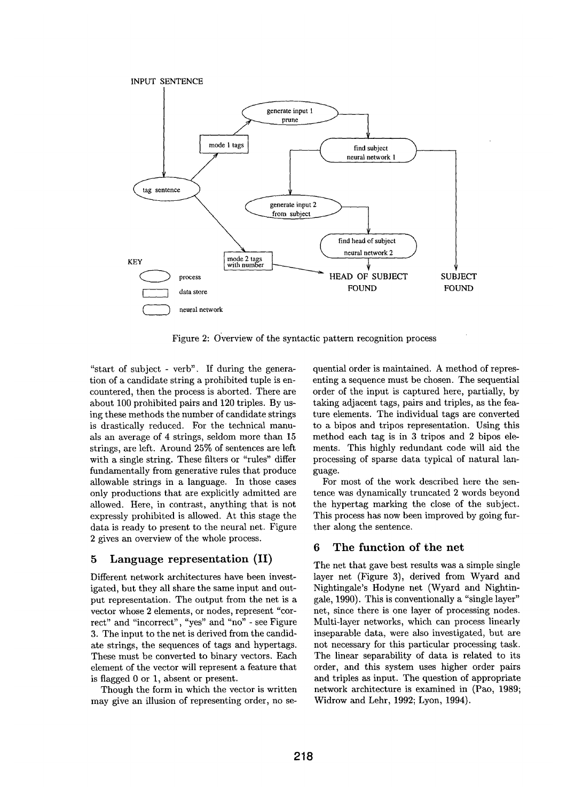

Figure 2: Overview of the syntactic pattern recognition process

"start of subject - verb". If during the generation of a candidate string a prohibited tuple is encountered, then the process is aborted. There are about 100 prohibited pairs and 120 triples. By using these methods the number of candidate strings is drastically reduced. For the technical manuals an average of 4 strings, seldom more than 15 strings, are left. Around 25% of sentences are left with a single string. These filters or "rules" differ fundamentally from generative rules that produce allowable strings in a language. In those cases only productions that are explicitly admitted are allowed. Here, in contrast, anything that is not expressly prohibited is allowed. At this stage the data is ready to present to the neural net. Figure 2 gives an overview of the whole process.

### **5 Language representation (II)**

Different network architectures have been investigated, but they all share the same input and output representation. The output from the net is a vector whose 2 elements, or nodes, represent "correct" and "incorrect", "yes" and "no" - see Figure 3. The input to the net is derived from the candidate strings, the sequences of tags and hypertags. These must be converted to binary vectors. Each element of the vector will represent a feature that is flagged 0 or 1, absent or present.

Though the form in which the vector is written may give an illusion of representing order, no se-

quential order is maintained. A method of representing a sequence must be chosen. The sequential order of the input is captured here, partially, by taking adjacent tags, pairs and triples, as the feature elements. The individual tags are converted to a bipos and tripos representation. Using this method each tag is in 3 tripos and 2 bipos elements. This highly redundant code will aid the processing of sparse data typical of natural language.

For most of the work described here the sentence was dynamically truncated 2 words beyond the hypertag marking the close of the subject. This process has now been improved by going further along the sentence.

# **6 The function of the net**

The net that gave best results was a simple single layer net (Figure 3), derived from Wyard and Nightingale's Hodyne net (Wyard and Nightingale, 1990). This is conventionally a "single layer" net, since there is one layer of processing nodes. Multi-layer networks, which can process linearly inseparable data, were also investigated, but are not necessary for this particular processing task. The linear separability of data is related to its order, and this system uses higher order pairs and triples as input. The question of appropriate network architecture is examined in (Pao, 1989; Widrow and Lehr, 1992; Lyon, 1994).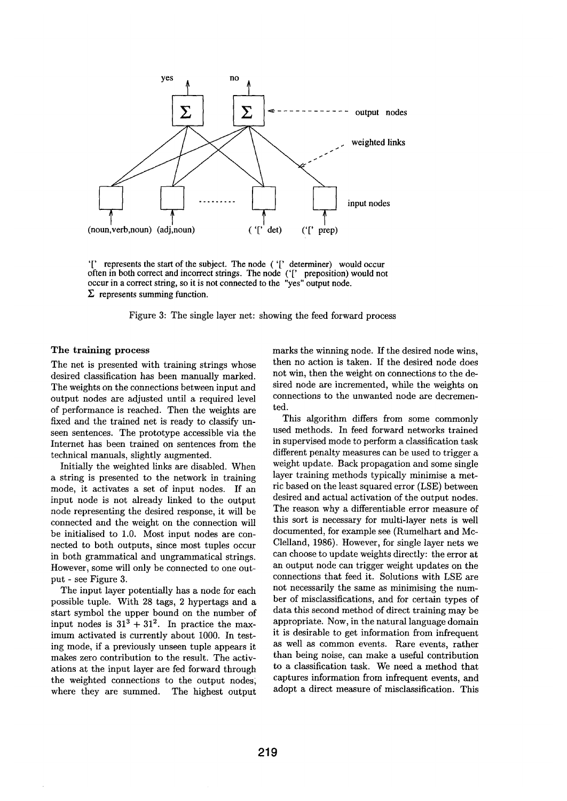

'[' represents the start of the subject. The node ( '[' determiner) would occur often in both correct and incorrect strings. The node ('[' preposition) would not occur in a correct string, so it is not connected to the "yes" output node.  $\Sigma$  represents summing function.

Figure 3: The single layer net: showing the feed forward process

### **The training process**

The net is presented with training strings whose desired classification has been manually marked. The weights on the connections between input and output nodes are adjusted until a required level of performance is reached. Then the weights are fixed and the trained net is ready to classify unseen sentences. The prototype accessible via the Internet has been trained on sentences from the technical manuals, slightly augmented.

Initially the weighted links are disabled. When a string is presented to the network in training mode, it activates a set of input nodes. If an input node is not already linked to the output node representing the desired response, it will be connected and the weight on the connection will be initialised to 1.0. Most input nodes are connected to both outputs, since most tuples occur in both grammatical and ungrammatical strings. However, some will only be connected to one output - see Figure 3.

The input layer potentially has a node for each possible tuple. With 28 tags, 2 hypertags and a start symbol the upper bound on the number of input nodes is  $31^3 + 31^2$ . In practice the maximum activated is currently about 1000. In testing mode, if a previously unseen tuple appears it makes zero contribution to the result. The activations at the input layer are fed forward through the weighted connections to the output nodes; where they are summed. The highest output

marks the winning node. If the desired node wins, then no action is taken. If the desired node does not win, then the weight on connections to the desired node are incremented, while the weights on connections to the unwanted node are decremented.

This algorithm differs from some commonly used methods. In feed forward networks trained in supervised mode to perform a classification task different penalty measures can be used to trigger a weight update. Back propagation and some single layer training methods typically minimise a metric based on the least squared error (LSE) between desired and actual activation of the output nodes. The reason why a differentiable error measure of this sort is necessary for multi-layer nets is well documented, for example see (Rumelhart and Mc-Clelland, 1986). However, for single layer nets we can choose to update weights directly: the error at an output node can trigger weight updates on the connections that feed it. Solutions with LSE are not necessarily the same as minimising the number of misclassifications, and for certain types of data this second method of direct training may be appropriate. Now, in the natural language domain it is desirable to get information from infrequent as well as common events. Rare events, rather than being noise, can make a useful contribution to a classification task. We need a method that captures information from infrequent events, and adopt a direct measure of misclassification. This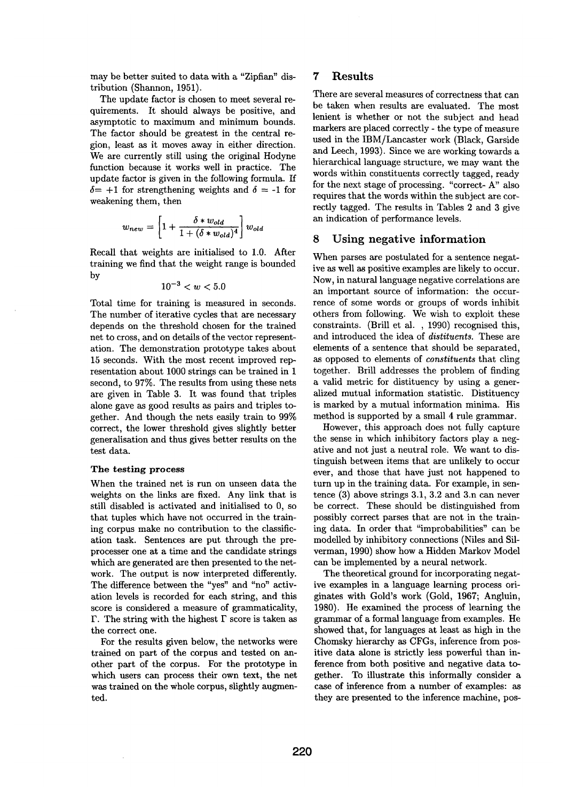may be better suited to data with a "Zipfian" distribution (Shannon, 1951).

The update factor is chosen to meet several requirements. It should always be positive, and asymptotic to maximum and minimum bounds. The factor should be greatest in the central region, least as it moves away in either direction. We are currently still using the original Hodyne function because it works well in practice. The update factor is given in the following formula. If  $\delta = +1$  for strengthening weights and  $\delta = -1$  for weakening them, then

$$
w_{new} = \left[1 + \frac{\delta * w_{old}}{1 + (\delta * w_{old})^4}\right]w_{old}
$$

Recall that weights are initialised to 1.0. After training we find that the weight range is bounded by

$$
10^{-3} < w < 5.0
$$

Total time for training is measured in seconds. The number of iterative cycles that are necessary depends on the threshold chosen for the trained net to cross, and on details of the vector representation. The demonstration prototype takes about 15 seconds. With the most recent improved representation about 1000 strings can be trained in 1 second, to 97%. The results from using these nets are given in Table 3. It was found that triples alone gave as good results as pairs and triples together. And though the nets easily train to 99% correct, the lower threshold gives slightly better generalisation and thus gives better results on the test data.

#### The testing process

When the trained net is run on unseen data the weights on the links are fixed. Any link that is still disabled is activated and initialised to 0, so that tuples which have not occurred in the training corpus make no contribution to the classification task. Sentences are put through the preprocesser one at a time and the candidate strings which are generated are then presented to the network. The output is now interpreted differently. The difference between the "yes" and "no" activation levels is recorded for each string, and this score is considered a measure of grammaticality,  $\Gamma$ . The string with the highest  $\Gamma$  score is taken as the correct one.

For the results given below, the networks were trained on part of the corpus and tested on another part of the corpus. For the prototype in which users can process their own text, the net was trained on the whole corpus, slightly augmented.

# **7** Results

There are several measures of correctness that can be taken when results are evaluated. The most lenient is whether or not the subject and head markers are placed correctly - the type of measure used in the IBM/Lancaster work (Black, Garside and Leech, 1993). Since we are working towards a hierarchical language structure, we may want the words within constituents correctly tagged, ready for the next stage of processing. "correct- A" also requires that the words within the subject are correctly tagged. The results in Tables 2 and 3 give an indication of performance levels.

### **8 Using negative information**

When parses are postulated for a sentence negative as well as positive examples are likely to occur. Now, in natural language negative correlations are an important source of information: the occurrence of some words or groups of words inhibit others from following. We wish to exploit these constraints. (Brill et al. , 1990) recognised this, and introduced the idea of *distituents.* These are elements of a sentence that should be separated, as opposed to elements of *constituents* that cling together. Brill addresses the problem of finding a valid metric for distituency by using a generalized mutual information statistic. Distituency is marked by a mutual information minima. His method is supported by a small 4 rule grammar.

However, this approach does not fully capture the sense in which inhibitory factors play a negative and not just a neutral role. We want to distinguish between items that are unlikely to occur ever, and those that have just not happened to turn up in the training data. For example, in sentence (3) above strings 3.1, 3.2 and 3.n can never be correct. These should be distinguished from possibly correct parses that are not in the training data. In order that "improbabilities" can be modelled by inhibitory connections (Niles and Silverman, 1990) show how a Hidden Markov Model can be implemented by a neural network.

The theoretical ground for incorporating negative examples in a language learning process originates with Gold's work (Gold, 1967; Angluin, 1980). He examined the process of learning the grammar of a formal language from examples. He showed that, for languages at least as high in the Chomsky hierarchy as CFGs, inference from positive data alone is strictly less powerful than inference from both positive and negative data together. To illustrate this informally consider a case of inference from a number of examples: as they are presented to the inference machine, pos-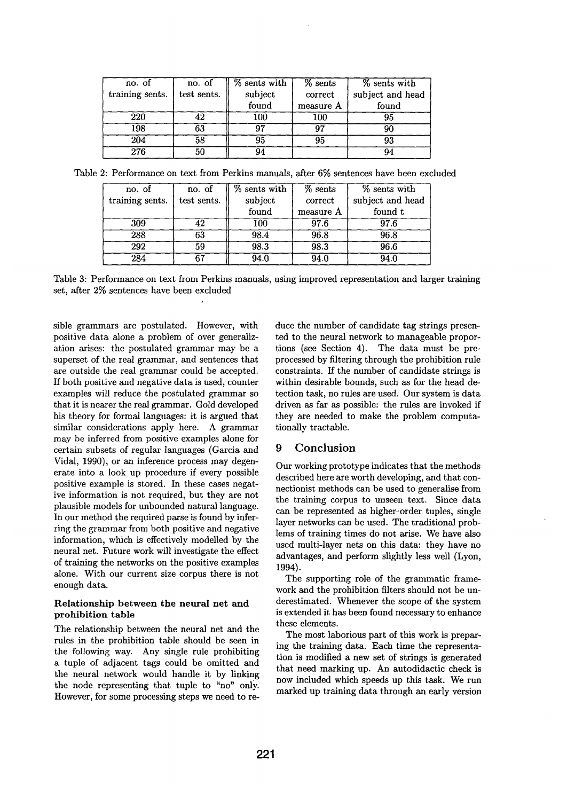| no. of           | no. of      | $%$ sents with | $%$ sents | % sents with     |
|------------------|-------------|----------------|-----------|------------------|
| training sents.  | test sents. | subject        | correct   | subject and head |
|                  |             | found          | measure A | found            |
| 220              | 42          | 100            | 100       | 95               |
| 198              | 63          | 97             | 07        |                  |
| 204              | 58          | 95             | 95        |                  |
| $\overline{276}$ | 50          | 94             |           |                  |

Table 2: Performance on text from Perkins manuals after 6% sentences have been excluded

| no. of          | no. of      | % sents with | $%$ sents | % sents with     |
|-----------------|-------------|--------------|-----------|------------------|
| training sents. | test sents. | subject      | correct   | subject and head |
|                 |             | found        | measure A | found t          |
| 309             | 42          | 100          | 97.6      | 97.6             |
| 288             | 63          | 98.4         | 96.8      | 96.8             |
| 292             | 59          | 98.3         | 98.3      | 96.6             |
| 284             | 67          | 94.0         | 94.0      | 94.0             |

Table 3: Performance on text from Perkins manuals, using improved representation and larger training set, after 2% sentences have been excluded

sible grammars are postulated. However, with positive data alone a problem of over generalization arises: the postulated grammar may be a superset of the real grammar, and sentences that are outside the real grammar could be accepted. If both positive and negative data is used, counter examples will reduce the postulated grammar so that it is nearer the real grammar. Gold developed his theory for formal languages: it is argued that similar considerations apply here. A grammar may be inferred from positive examples alone for certain subsets of regular languages (Garcia and Vidal, 1990), or an inference process may degenerate into a look up procedure if every possible positive example is stored. In these cases negative information is not required, but they are not plausible models for unbounded natural language. In our method the required parse is found by inferring the grammar from both positive and negative information, which is effectively modelled by the neural net. Future work will investigate the effect of training the networks on the positive examples alone. With our current size corpus there is not enough data.

### Relationship between the neural net and prohibition table

The relationship between the neural net and the rules in the prohibition table should be seen in the following way. Any single rule prohibiting a tuple of adjacent tags could be omitted and the neural network would handle it by linking the node representing that tuple to "no" only. However, for some processing steps we need to reduce the number of candidate tag strings presented to the neural network to manageable proportions (see Section 4). The data must be preprocessed by filtering through the prohibition rule constraints. If the number of candidate strings is within desirable bounds, such as for the head detection task, no rules are used. Our system is data driven as far as possible: the rules are invoked if they are needed to make the problem computationally tractable.

# **9 Conclusion**

Our working prototype indicates that the methods described here are worth developing, and that connectionist methods can be used to generalise from the training corpus to unseen text. Since data can be represented as higher-order tuples, single layer networks can be used. The traditional problems of training times do not arise. We have also used multi-layer nets on this data: they have no advantages, and perform slightly less well (Lyon, 1994).

The supporting role of the grammatic framework and the prohibition filters should not be underestimated. Whenever the scope of the system is extended it has been found necessary to enhance these elements.

The most laborious part of this work is preparing the training data. Each time the representation is modified a new set of strings is generated that need marking up. An autodidactic check is now included which speeds up this task. We run marked up training data through an early version